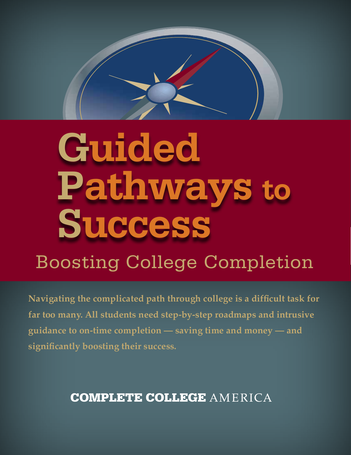

# **Guided Pathways to Success**

# Boosting College Completion

**Navigating the complicated path through college is a difficult task for far too many. All students need step-by-step roadmaps and intrusive guidance to on-time completion — saving time and money — and significantly boosting their success.**

# **COMPLETE COLLEGE AMERICA**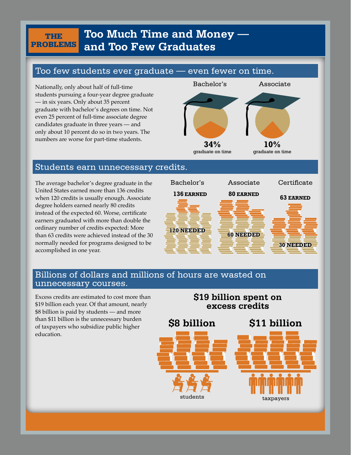#### problems **Too Much Time and Money and Too Few Graduates**

#### Too few students ever graduate — even fewer on time.

Nationally, only about half of full-time students pursuing a four-year degree graduate — in six years. Only about 35 percent graduate with bachelor's degrees on time. Not even 25 percent of full-time associate degree candidates graduate in three years — and only about 10 percent do so in two years. The numbers are worse for part-time students.

the

# Bachelor's Associate **34%** graduate on time **10%** graduate on time

#### Students earn unnecessary credits.

The average bachelor's degree graduate in the United States earned more than 136 credits when 120 credits is usually enough. Associate degree holders earned nearly 80 credits instead of the expected 60. Worse, certificate earners graduated with more than double the ordinary number of credits expected: More than 63 credits were achieved instead of the 30 normally needed for programs designed to be accomplished in one year.



#### Billions of dollars and millions of hours are wasted on unnecessary courses.

Excess credits are estimated to cost more than \$19 billion each year. Of that amount, nearly \$8 billion is paid by students — and more than \$11 billion is the unnecessary burden of taxpayers who subsidize public higher education.

#### **\$19 billion spent on excess credits**

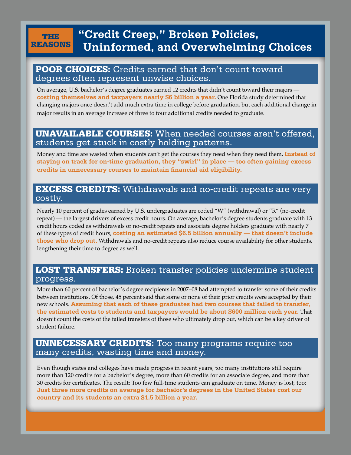#### the reasons **"Credit Creep," Broken Policies, Uninformed, and Overwhelming Choices**

#### POOR CHOICES: Credits earned that don't count toward degrees often represent unwise choices.

On average, U.S. bachelor's degree graduates earned 12 credits that didn't count toward their majors **costing themselves and taxpayers nearly \$6 billion a year.** One Florida study determined that changing majors once doesn't add much extra time in college before graduation, but each additional change in major results in an average increase of three to four additional credits needed to graduate.

#### UNAVAILABLE COURSES: When needed courses aren't offered, students get stuck in costly holding patterns.

Money and time are wasted when students can't get the courses they need when they need them. **Instead of staying on track for on-time graduation, they "swirl" in place — too often gaining excess credits in unnecessary courses to maintain financial aid eligibility.**

#### EXCESS CREDITS: Withdrawals and no-credit repeats are very costly.

Nearly 10 percent of grades earned by U.S. undergraduates are coded "W" (withdrawal) or "R" (no-credit repeat) — the largest drivers of excess credit hours. On average, bachelor's degree students graduate with 13 credit hours coded as withdrawals or no-credit repeats and associate degree holders graduate with nearly 7 of these types of credit hours, **costing an estimated \$6.5 billion annually — that doesn't include those who drop out.** Withdrawals and no-credit repeats also reduce course availability for other students, lengthening their time to degree as well.

#### LOST TRANSFERS: Broken transfer policies undermine student progress.

More than 60 percent of bachelor's degree recipients in 2007–08 had attempted to transfer some of their credits between institutions. Of those, 45 percent said that some or none of their prior credits were accepted by their new schools. **Assuming that each of these graduates had two courses that failed to transfer, the estimated costs to students and taxpayers would be about \$600 million each year.** That doesn't count the costs of the failed transfers of those who ultimately drop out, which can be a key driver of student failure.

#### Too many programs require too many credits, wasting **UNNECESSARY CREDITS:** Too many programs require too many credits, wasting time and money.

Even though states and colleges have made progress in recent years, too many institutions still require more than 120 credits for a bachelor's degree, more than 60 credits for an associate degree, and more than 30 credits for certificates. The result: Too few full-time students can graduate on time. Money is lost, too: **Just three more credits on average for bachelor's degrees in the United States cost our country and its students an extra \$1.5 billion a year.**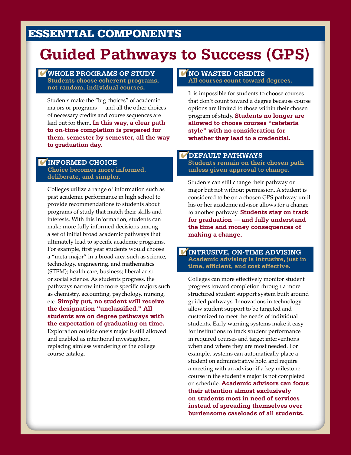## Essential Components

# **Guided Pathways to Success (GPS)**

#### **WHOLE PROGRAMS OF STUDY Students choose coherent programs, not random, individual courses.**

Students make the "big choices" of academic majors or programs — and all the other choices of necessary credits and course sequences are laid out for them. **In this way, a clear path to on-time completion is prepared for them, semester by semester, all the way to graduation day.**

#### **informed choice**

**Choice becomes more informed, deliberate, and simpler.**

Colleges utilize a range of information such as past academic performance in high school to provide recommendations to students about programs of study that match their skills and interests. With this information, students can make more fully informed decisions among a set of initial broad academic pathways that ultimately lead to specific academic programs. For example, first year students would choose a "meta-major" in a broad area such as science, technology, engineering, and mathematics (STEM); health care; business; liberal arts; or social science. As students progress, the pathways narrow into more specific majors such as chemistry, accounting, psychology, nursing, etc. **Simply put, no student will receive the designation "unclassified." All students are on degree pathways with the expectation of graduating on time.** Exploration outside one's major is still allowed

and enabled as intentional investigation, replacing aimless wandering of the college course catalog.

#### **no wasted credits All courses count toward degrees.**

It is impossible for students to choose courses that don't count toward a degree because course options are limited to those within their chosen program of study. **Students no longer are allowed to choose courses "cafeteria style" with no consideration for whether they lead to a credential.**

#### **default pathways**

**Students remain on their chosen path unless given approval to change.**

Students can still change their pathway or major but not without permission. A student is considered to be on a chosen GPS pathway until his or her academic advisor allows for a change to another pathway. **Students stay on track for graduation — and fully understand the time and money consequences of making a change.**

#### **intrusive, on-time advising Academic advising is intrusive, just in time, efficient, and cost effective.**

Colleges can more effectively monitor student progress toward completion through a more structured student support system built around guided pathways. Innovations in technology allow student support to be targeted and customized to meet the needs of individual students. Early warning systems make it easy for institutions to track student performance in required courses and target interventions when and where they are most needed. For example, systems can automatically place a student on administrative hold and require a meeting with an advisor if a key milestone course in the student's major is not completed on schedule. **Academic advisors can focus their attention almost exclusively on students most in need of services instead of spreading themselves over burdensome caseloads of all students.**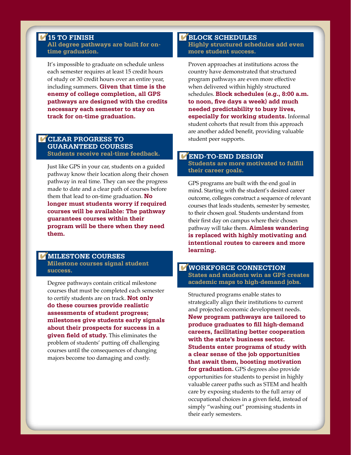#### **15 to finish**

**All degree pathways are built for ontime graduation.**

It's impossible to graduate on schedule unless each semester requires at least 15 credit hours of study or 30 credit hours over an entire year, including summers. **Given that time is the enemy of college completion, all GPS pathways are designed with the credits necessary each semester to stay on track for on-time graduation.**

#### **CLEAR PROGRESS TO gUARaNTEED courses Students receive real-time feedback.**

Just like GPS in your car, students on a guided pathway know their location along their chosen pathway in real time. They can see the progress made to date and a clear path of courses before them that lead to on-time graduation. **No longer must students worry if required courses will be available: The pathway guarantees courses within their program will be there when they need** 

#### **milestone courses**

**them.**

**Milestone courses signal student success.**

Degree pathways contain critical milestone courses that must be completed each semester to certify students are on track. **Not only do these courses provide realistic assessments of student progress; milestones give students early signals about their prospects for success in a given field of study.** This eliminates the problem of students' putting off challenging courses until the consequences of changing majors become too damaging and costly.

#### **block schedules Highly structured schedules add even more student success.**

Proven approaches at institutions across the country have demonstrated that structured program pathways are even more effective when delivered within highly structured schedules. **Block schedules (e.g., 8:00 a.m. to noon, five days a week) add much needed predictability to busy lives, especially for working students.** Informal student cohorts that result from this approach are another added benefit, providing valuable student peer supports.

#### **END-to-END design**

**Students are more motivated to fulfill their career goals.**

GPS programs are built with the end goal in mind. Starting with the student's desired career outcome, colleges construct a sequence of relevant courses that leads students, semester by semester, to their chosen goal. Students understand from their first day on campus where their chosen pathway will take them. **Aimless wandering is replaced with highly motivating and intentional routes to careers and more learning.**

#### **workforce connection States and students win as GPS creates academic maps to high-demand jobs.**

Structured programs enable states to strategically align their institutions to current and projected economic development needs. **New program pathways are tailored to produce graduates to fill high-demand careers, facilitating better cooperation with the state's business sector. Students enter programs of study with a clear sense of the job opportunities that await them, boosting motivation for graduation.** GPS degrees also provide opportunities for students to persist in highly valuable career paths such as STEM and health care by exposing students to the full array of occupational choices in a given field, instead of simply "washing out" promising students in their early semesters.